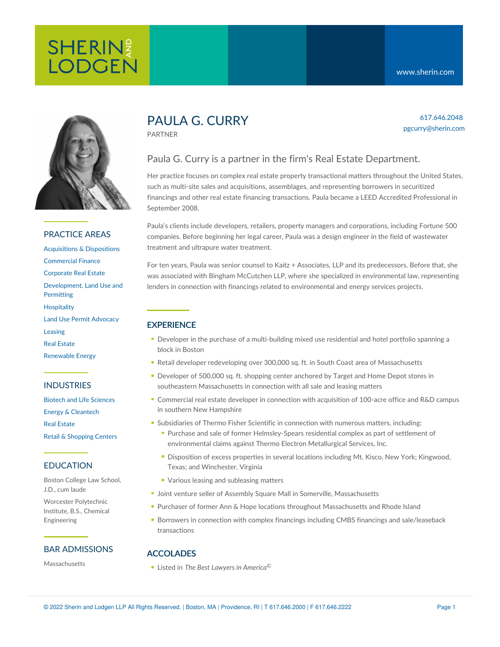617.646.2048 pgcurry@sherin.com



## PRACTICE AREAS

[Acquisitions](https://www.sherin.com/practice-areas/real-estate/acquisitions-and-dispositions/) & Dispositions [Commercial](https://www.sherin.com/practice-areas/commercial-finance/) Finance [Corporate](https://www.sherin.com/practice-areas/real-estate/corporate-real-estate/) Real Estate [Development,](https://www.sherin.com/practice-areas/real-estate/development/) Land Use and **Permitting [Hospitality](https://www.sherin.com/practice-areas/hospitality/)** Land Use Permit [Advocacy](https://www.sherin.com/practice-areas/real-estate/land-use-permit-advocacy/) [Leasing](https://www.sherin.com/practice-areas/real-estate/leasing/) Real [Estate](https://www.sherin.com/practice-areas/real-estate/) [Renewable](https://www.sherin.com/practice-areas/renewable-energy/) Energy

## INDUSTRIES

Biotech and Life [Sciences](https://www.sherin.com/industries/biotech-and-life-sciences/) Energy & [Cleantech](https://www.sherin.com/industries/energy-and-cleantech/) Real [Estate](https://www.sherin.com/industries/real-estate/) Retail & [Shopping](https://www.sherin.com/industries/retail-shopping-centers/) Centers

## EDUCATION

Boston College Law School, J.D., cum laude

Worcester Polytechnic Institute, B.S., Chemical Engineering

### BAR ADMISSIONS

Massachusetts

# PAULA G. CURRY

PARTNER

## Paula G. Curry is a partner in the firm's Real Estate Department.

Her practice focuses on complex real estate property transactional matters throughout the United States, such as multi-site sales and acquisitions, assemblages, and representing borrowers in securitized financings and other real estate financing transactions. Paula became a LEED Accredited Professional in September 2008.

Paula's clients include developers, retailers, property managers and corporations, including Fortune 500 companies. Before beginning her legal career, Paula was a design engineer in the field of wastewater treatment and ultrapure water treatment.

For ten years, Paula was senior counsel to Kaitz + Associates, LLP and its predecessors. Before that, she was associated with Bingham McCutchen LLP, where she specialized in environmental law, representing lenders in connection with financings related to environmental and energy services projects.

## **EXPERIENCE**

- Developer in the purchase of a multi-building mixed use residential and hotel portfolio spanning a block in Boston
- Retail developer redeveloping over 300,000 sq. ft. in South Coast area of Massachusetts
- Developer of 500,000 sq. ft. shopping center anchored by Target and Home Depot stores in southeastern Massachusetts in connection with all sale and leasing matters
- Commercial real estate developer in connection with acquisition of 100-acre office and R&D campus in southern New Hampshire
- Subsidiaries of Thermo Fisher Scientific in connection with numerous matters, including:
	- Purchase and sale of former Helmsley-Spears residential complex as part of settlement of environmental claims against Thermo Electron Metallurgical Services, Inc.
	- **Disposition of excess properties in several locations including Mt. Kisco, New York; Kingwood,** Texas; and Winchester, Virginia
	- Various leasing and subleasing matters
- **Joint venture seller of Assembly Square Mall in Somerville, Massachusetts**
- Purchaser of former Ann & Hope locations throughout Massachusetts and Rhode Island
- **Borrowers in connection with complex financings including CMBS financings and sale/leaseback** transactions

## ACCOLADES

Listed in *The Best Lawyers in America*©